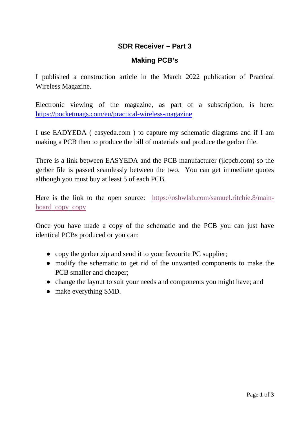## **SDR Receiver – Part 3**

## **Making PCB's**

I published a construction article in the March 2022 publication of Practical Wireless Magazine.

Electronic viewing of the magazine, as part of a subscription, is here: <https://pocketmags.com/eu/practical-wireless-magazine>

I use EADYEDA ( easyeda.com ) to capture my schematic diagrams and if I am making a PCB then to produce the bill of materials and produce the gerber file.

There is a link between EASYEDA and the PCB manufacturer (jlcpcb.com) so the gerber file is passed seamlessly between the two. You can get immediate quotes although you must buy at least 5 of each PCB.

Here is the link to the open source: [https://oshwlab.com/samuel.ritchie.8/main](https://oshwlab.com/samuel.ritchie.8/main-board_copy_copy)board copy copy

Once you have made a copy of the schematic and the PCB you can just have identical PCBs produced or you can:

- copy the gerber zip and send it to your favourite PC supplier;
- modify the schematic to get rid of the unwanted components to make the PCB smaller and cheaper;
- change the layout to suit your needs and components you might have; and
- make everything SMD.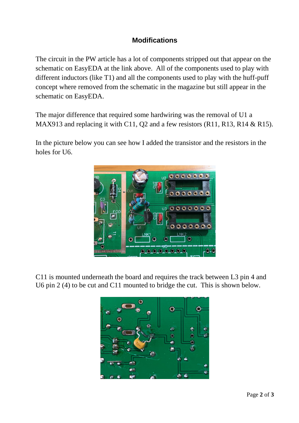## **Modifications**

The circuit in the PW article has a lot of components stripped out that appear on the schematic on EasyEDA at the link above. All of the components used to play with different inductors (like T1) and all the components used to play with the huff-puff concept where removed from the schematic in the magazine but still appear in the schematic on EasyEDA.

The major difference that required some hardwiring was the removal of U1 a MAX913 and replacing it with C11, Q2 and a few resistors (R11, R13, R14 & R15).

In the picture below you can see how I added the transistor and the resistors in the holes for U6.



C11 is mounted underneath the board and requires the track between L3 pin 4 and U6 pin 2 (4) to be cut and C11 mounted to bridge the cut. This is shown below.